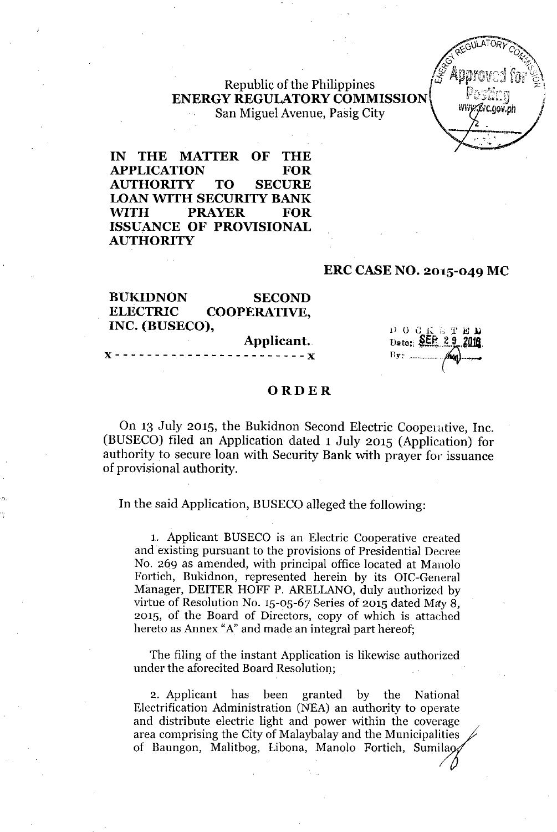## Republic of the Philippines **ENERGY REGULATORYCOMMISSION** San Miguel Avenue, Pasig City



**IN THE MATTER OF THE APPLICATION FOR AUTHORITY TO SECURE LOAN WITH SECURITY BANK WITH PRAYER FOR ISSUANCE OF PROVISIONAL AUTHORITY**

#### **ERC CASE NO. 2015-049 MC**

**BUKIDNON SECOND ELECTRIC COOPERATIVE, INC. (BUSECO),**

Applicant.

 $D$  O  $C$  K  $\mathbb{C}$  T Dato: SER 29 

## **ORDER**

On 13 July 2015, the Bukidnon Second Electric Cooperative, Inc. (BUSECO) filed an Application dated 1 July 2015 (Application) for authority to secure loan with Security Bank with prayer for issuance of provisional authority.

**In** the said Application, BUSECO alleged the following:

1. Applicant BUSECO is an Electric Cooperative created and existing pursuant to the provisions of Presidential Decree No. 269 as amended, with principal office located at Manolo Fortich, Bukidnon, represented herein by its OIC-General Manager, DEITER HOFF P. ARELLANO, duly authorized by virtue of Resolution No. 15-05-67 Series of 2015 dated *Mity 8,* 2015, of the Board of Directors, copy of which is attached hereto as Annex "A"and made an integral part hereof;

The filing of the instant Application is likewise authorized under the aforecited Board Resolution.;

2. Applicant has been granted by the National Electrification Administration (NEA) an authority to operate and distribute electric light and power within the coverage area comprising the City of Malaybalay and the Municipalities of Baungon, Malitbog, Libona, Manolo Fortich, Sumilao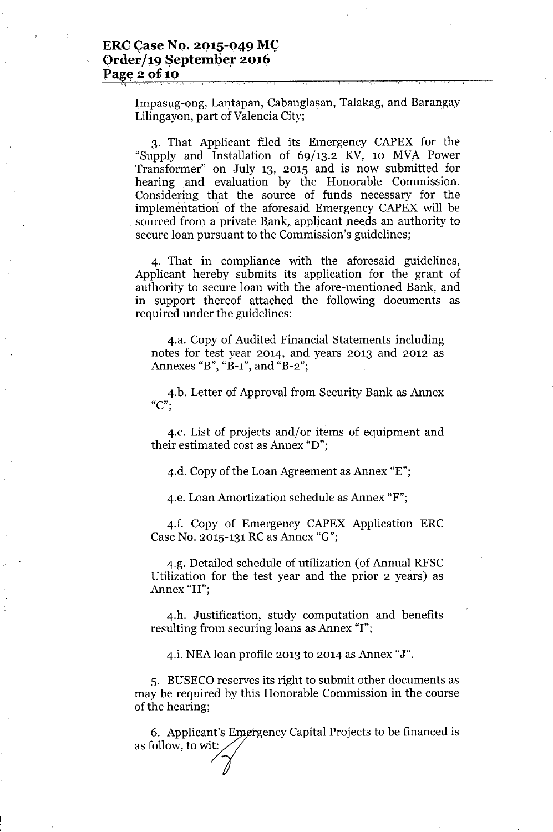$\widetilde{\gamma_2}$  , and the set of the set of the set of the set of the set of the set of the set of the set of the set of the set of the set of the set of the set of the set of the set of the set of the set of the set of the s

Impasug-ong, Lantapan, Cabanglasan, Talakag, and Barangay Lilingayon, part of Valencia City;

3. That Applicant filed its Emergency CAPEX for the "Supply and Installation of 69/13.2 KV, 10 MVA Power Transformer" on July 13, 2015 and is now submitted for hearing and evaluation by the Honorable Commission. Considering that the source of funds necessary for the implementation of the aforesaid Emergency CAPEX will be sourced from a private Bank, applicant needs an authority to secure loan pursuant to the Commission's guidelines;

4. That in compliance with the aforesaid guidelines, Applicant hereby submits its application for the grant of authority to secure loan with the afore-mentioned Bank, and in support thereof attached the following documents as required under the guidelines:

4.a. Copy of Audited Financial Statements including notes for test year 2014, and years 2013 and 2012 as Annexes "B", "B-1", and "B-2";

4.b. Letter of Approval from Security Bank as Annex **"e"-**,

4.c. List of projects and/or items of equipment and their estimated cost as Annex "D";

4.d. Copy of the Loan Agreement as Annex "E";

4.e. Loan Amortization schedule as Annex "F";

4.f. Copy of Emergency CAPEX Application ERC Case No. 2015-131RCas Annex "G";

4.g. Detailed schedule of utilization (of Annual RFSC Utilization for the test year and the prior 2 years) as Annex "H";

4.h. Justification, study computation and benefits resulting from securing loans as Annex "I";

4.i. NEAloan profile 2013 to 2014 as Annex "J".

5. BUSECO reserves its right to submit other documents as may be required by this Honorable Commission in the course of the hearing;

6. Applicant's Emergency Capital Projects to be financed is as follow, to wit: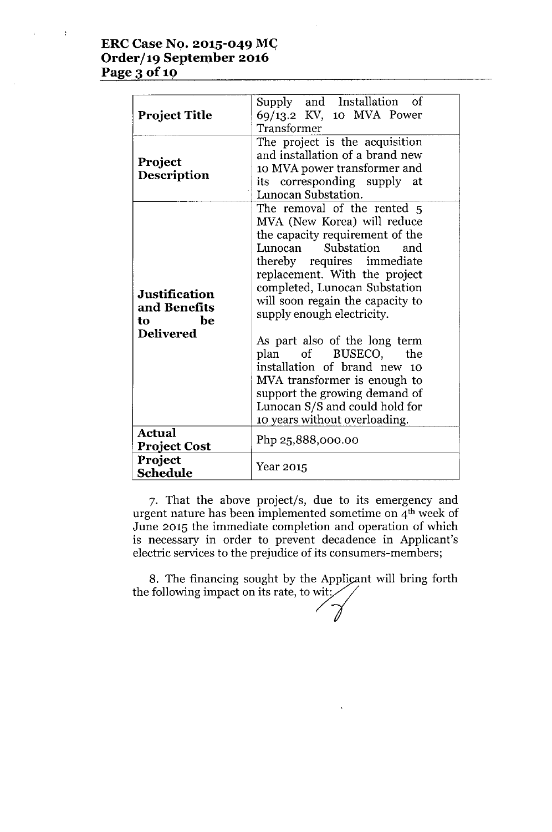# **ERCCase No. 2015-049** *MG* **Order/19 September 2016 Page**  $3$  of 10

 $\sim 1$ 

| <b>Project Title</b>                                                  | Supply and Installation of<br>69/13.2 KV, 10 MVA Power<br>Transformer<br>The project is the acquisition<br>and installation of a brand new                                                                                                                                                                                       |  |  |  |  |
|-----------------------------------------------------------------------|----------------------------------------------------------------------------------------------------------------------------------------------------------------------------------------------------------------------------------------------------------------------------------------------------------------------------------|--|--|--|--|
| Project<br>Description                                                | 10 MVA power transformer and<br>its corresponding supply at<br>Lunocan Substation.                                                                                                                                                                                                                                               |  |  |  |  |
| <b>Justification</b><br>and Benefits<br>be<br>to.<br><b>Delivered</b> | The removal of the rented 5<br>MVA (New Korea) will reduce<br>the capacity requirement of the<br>Substation<br>Lunocan<br>and<br>thereby requires immediate<br>replacement. With the project<br>completed, Lunocan Substation<br>will soon regain the capacity to<br>supply enough electricity.<br>As part also of the long term |  |  |  |  |
|                                                                       | plan of BUSECO,<br>the<br>installation of brand new 10<br>MVA transformer is enough to<br>support the growing demand of<br>Lunocan S/S and could hold for<br>10 years without overloading.                                                                                                                                       |  |  |  |  |
| <b>Actual</b><br><b>Project Cost</b>                                  | Php 25,888,000.00                                                                                                                                                                                                                                                                                                                |  |  |  |  |
| Project<br>Schedule                                                   | Year 2015                                                                                                                                                                                                                                                                                                                        |  |  |  |  |

7. That the above project/s, due to its emergency and urgent nature has been implemented sometime on 4<sup>th</sup> week of June 2015 the immediate completion and operation of which is necessary in order to prevent decadence in Applicant's electric services to the prejudice of its consumers-members;

8. The financing sought by the Applicant will bring forth the following impact on its rate, to wit;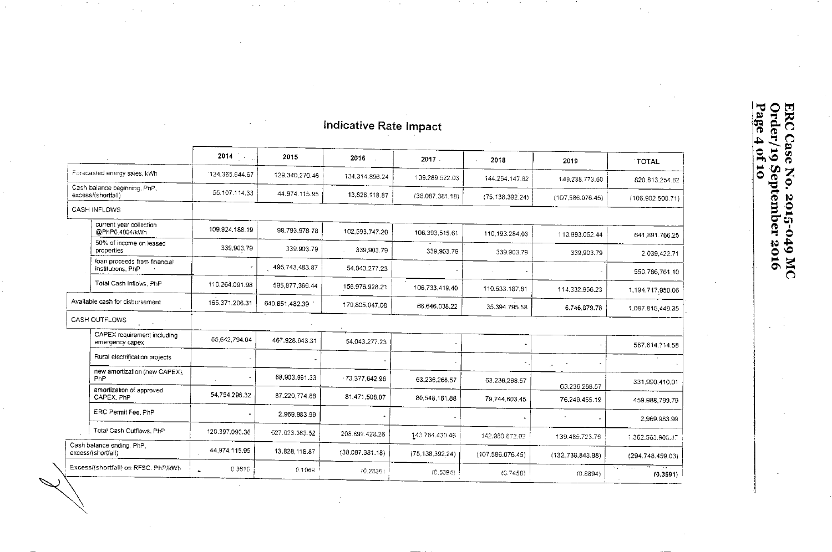# Indicative Rate Impact

 $\mathcal{E}^{\mathcal{E}}_{\mathcal{E}}$  ,  $\mathcal{E}^{\mathcal{E}}_{\mathcal{E}}$ 

 $\sim$   $\sim$ 

 $\hat{\mathbf{r}}$  $\sim$ 

|                                                    |                                           | 2014               | 2015           | 2016             | 2017            | 2018<br>$\mathbf{r}$ | 2019                           | <b>TOTAL</b>     |
|----------------------------------------------------|-------------------------------------------|--------------------|----------------|------------------|-----------------|----------------------|--------------------------------|------------------|
| Forecasted energy sales, kWh                       |                                           | 124.365.644.67     | 129,340,270.46 | 134.314.896.24   | 139.289.522.03  | 144.264.147.82       | 149.238.773.60                 | 820 813 254 82   |
| Cash balance beginning, PhP,<br>excess/(shortfall) |                                           | 55.107.114.33      | 44.974.115.95  | 13,828,118.87    | (38.087.381.18) | (75, 138, 392, 24)   | (107, 586, 076.45)             | (106.902.500.71) |
| <b>CASH INFLOWS</b>                                |                                           |                    |                |                  |                 |                      |                                |                  |
|                                                    | current year collection<br>@PhP0.4004/kWh | 109.924.188.19     | 98.793,978 78  | 102,593,747.20   | 106,393.515.61  | 110.193.284.03       | 113.993.052.44                 | 641.891.766.25   |
| properties                                         | 50% of income on leased                   | 339,903.79         | 339.903.79     | 339,903.79       | 339,903.79      | 339.903.79           | 339,903.79                     | 2.039,422.71     |
| institutions, PhP                                  | loan proceeds from financial              |                    | 496,743,483.87 | 54,043,277.23    |                 |                      |                                | 550,786,761.10   |
|                                                    | Total Cash Inflows, PhP                   | 110,264.091.98     | 595,877,366.44 | 156.976.928.21   | 106,733,419.40  | 110.533.187.81       | 114,332,956.23                 | 1,194,717,950.06 |
| Available cash for disbursement                    |                                           | 165,371,206.31     | 640,851,482.39 | 170,805,047.08   | 68,646,038.22   | 35,394,795.58        | 6.746.879.78                   | 1,087.815,449.35 |
| CASH OUTFLOWS                                      |                                           |                    |                |                  |                 |                      |                                |                  |
| emergency capex                                    | CAPEX requirement including               | 65,642,794.04      | 467 928 643 31 | 54,043,277.23    |                 |                      |                                | 587,614,714.58   |
|                                                    | Rural electrification projects            |                    |                |                  |                 |                      |                                |                  |
| PhP                                                | new amortization (new CAPEX).             |                    | 68.903,961.33  | $-73,377,642.96$ | 63,236,268.57   | 63.236,268.57        | $\mathcal{C}^{\bullet}$        | 331,990,410.01   |
| CAPEX, PhP                                         | amortization of approved                  | 54.754,296.32      | 87.220,774.88  | 81,471,508.07    | 80,548.161.88   | 79,744,603.45        | 63.236,268.57<br>76,249,455.19 | 459.988,799.79   |
|                                                    | ERC Permit Fee, PhP                       |                    | 2.969.983.99   |                  |                 |                      |                                | 2,969.983.99     |
|                                                    | Total Cash Outflows, PhP                  | 120.397.090.36     | 627.023.363.52 | 208.892.428.26   | 143 784 430 46  | 142.980.872.02       | 139.485.723.76                 | 1.382.563.906.37 |
| Cash balance ending, PhP,<br>excess/(shortfall)    |                                           | 44.974.115.95      | 13,828,118.87  | (38.087.381.18)  | (75.138.392.24) | (107.586.076.45)     | (132, 738, 843.98)             | (294.748.459.03) |
|                                                    | Excess/(shortfall) on RFSC, PhP/kWh       | 0.3616<br>$\Delta$ | 0.1069         | (0.2836)         | (0.5394)        | (0.7458)             | (0.8894)                       | (0.3591)         |

**ERC Case No. 2015-049 MC<br>Order/19 September 2016**<br>Page 4 of 10

 $\sim$  $\cdot$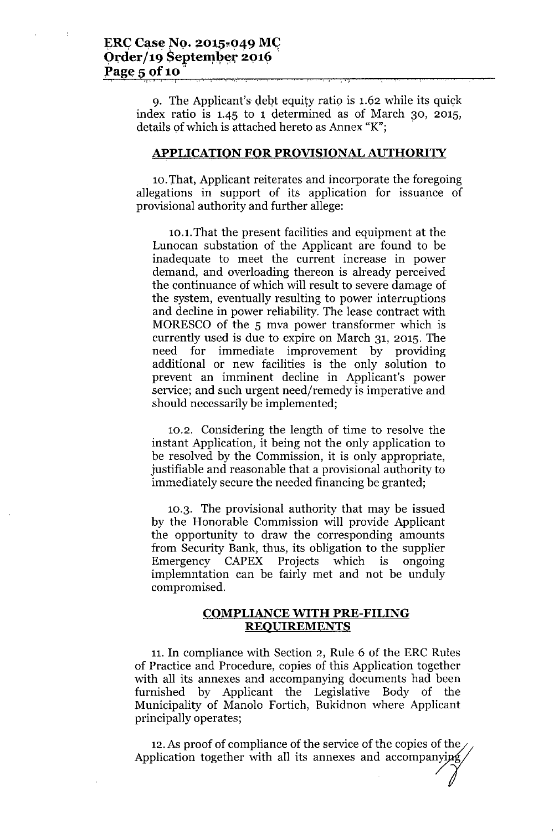, <u>II.</u>

9. The Applicant's debt equity ratio is 1.62 while its quick index ratio is  $1.45$  to 1 determined as of March 30, 2015, details of which is attached hereto as Annex "K";

#### **APPLICATION FOR PROVISIONAL AUTHORITY**

10.That, Applicant reiterates and incorporate the foregoing allegations in support of its application for issuance of provisional authority and further allege:

10.1.That the present facilities and equipment at the Lunocan substation of the Applicant are found to be inadequate to meet the current increase in power demand, and overloading thereon is already perceived the continuance of which will result to severe damage of the system, eventually resulting to power interruptions and decline in power reliability. The lease contract with MORESCO of the 5 mva power transformer which is currently used is due to expire on March 31, 2015. The need for immediate improvement by providing additional or new facilities is the only solution to prevent an imminent decline in Applicant's power service; and such urgent need/remedy is imperative and should necessarily be implemented;

10.2. Considering the length of time to resolve the instant Application, it being not the only application to be resolved by the Commission, it is only appropriate, justifiable and reasonable that a provisional authority to immediately secure the needed financing be granted;

10.3. The provisional authority that may be issued by the Honorable Commission will provide Applicant the opportunity to draw the corresponding amounts from Security Bank, thus, its obligation to the supplier Emergency CAPEX Projects which is ongoing implemntation can be fairly met and not be unduly compromised.

#### **COMPLIANCE WITH PRE-FILING REQUIREMENTS**

11. In compliance with Section 2, Rule 6 of the ERC Rules of Practice and Procedure, copies of this Application together with all its annexes and accompanying documents had been furnished by Applicant the Legislative Body of the Municipality of Manolo Fortich, Bukidnon where Applicant principally operates;

12. As proof of compliance of the service of the copies of the Application together with all its annexes and accompanying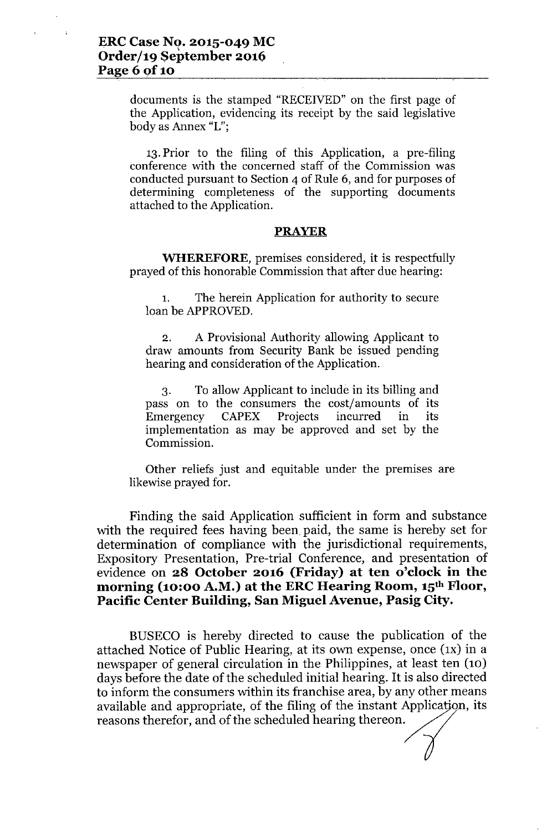documents is the stamped "RECEIVED" on the first page of the Application, evidencing its receipt by the said legislative body as Annex "L";

13.Prior to the filing of this Application, a pre-filing conference with the concerned staff of the Commission was conducted pursuant to Section 4 of Rule 6, and for purposes of determining completeness of the supporting documents attached to the Application.

#### **PRAYER**

**WHEREFORE,** premises considered, it is respectfully prayed of this honorable Commission that after due hearing:

1. The herein Application for authority to secure loan be APPROVED.

2. A Provisional Authority allowing Applicant to draw amounts from Security Bank be issued pending hearing and consideration of the Application.

3. To allow Applicant to include in its billing and pass on to the consumers the cost/amounts of its<br>Emergency CAPEX Projects incurred in its Emergency CAPEX Projects incurred in its implementation as may be approved and set by the Commission.

Other reliefs just and equitable under the premises are likewise prayed for.

Finding the said Application sufficient in form and substance with the required fees having been paid, the same is hereby set for determination of compliance with the jurisdictional requirements, Expository Presentation, Pre-trial Conference, and presentation of evidence on **28 October 2016 (Friday) at ten o'clock in the morning (10:00 A.M.) at the ERCHearing Room, 15th Floor, Pacific Center Building, San Miguel Avenue, Pasig City.**

BUSECO is hereby directed to cause the publication of the attached Notice of Public Hearing, at its own expense, once (IX) in a newspaper of general circulation in the Philippines, at least ten (10) days before the date of the scheduled initial hearing. It is also directed to inform the consumers within its franchise area, by any other means available and appropriate, of the filing of the instant Application, its reasons therefor, and of the scheduled hearing thereon.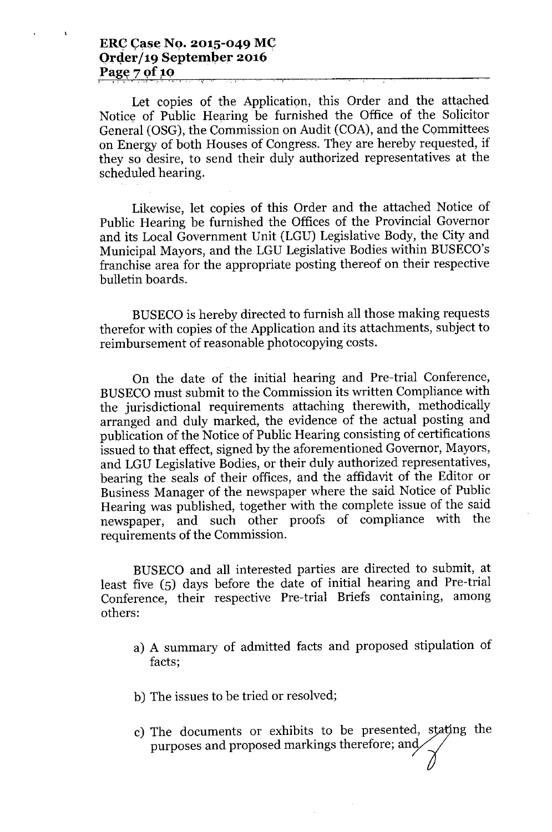Let copies of the Application, this Order and the attached Notice of Public Hearing be furnished the Office of the Solicitor General (OSG), the Commission on Audit (COA), and the Committees on Energy of both Houses of Congress. They are hereby requested, if they so desire, to send their duly authorized representatives at the scheduled hearing.

Likewise, let copies of this Order and the attached Notice of Public Hearing be furnished the Offices of the Provincial Governor and its Local Government Unit (LGU) Legislative Body, the City and Municipal Mayors, and the LGU Legislative Bodies within BUSECO's franchise area for the appropriate posting thereof on their respective bulletin boards.

BUSECO is hereby directed to furnish all those making requests therefor with copies of the Application and its attachments, subject to reimbursement of reasonable photocopying costs.

On the date of the initial hearing and Pre-trial Conference, BUSECOmust submit to the Commission its written Compliance with the jurisdictional requirements attaching therewith, methodically arranged and duly marked, the evidence of the actual posting and publication of the Notice of Public Hearing consisting of certifications issued to that effect, signed by the aforementioned Governor, Mayors, and LGU Legislative Bodies, or their duly authorized representatives, bearing the seals of their offices, and the affidavit of the Editor or Business Manager of the newspaper where the said Notice of Public Hearing was published, together with the complete issue of the said newspaper, and such other proofs of compliance with the requirements of the Commission.

BUSECO and all interested parties are directed to submit, at least five (5) days before the date of initial hearing and Pre-trial Conference, their respective Pre-trial Briefs containing, among others:

- a) A summary of admitted facts and proposed stipulation of facts;
- b) The issues to be tried or resolved;
- c) The documents or exhibits to be presented, stating the purposes and proposed markings therefore; and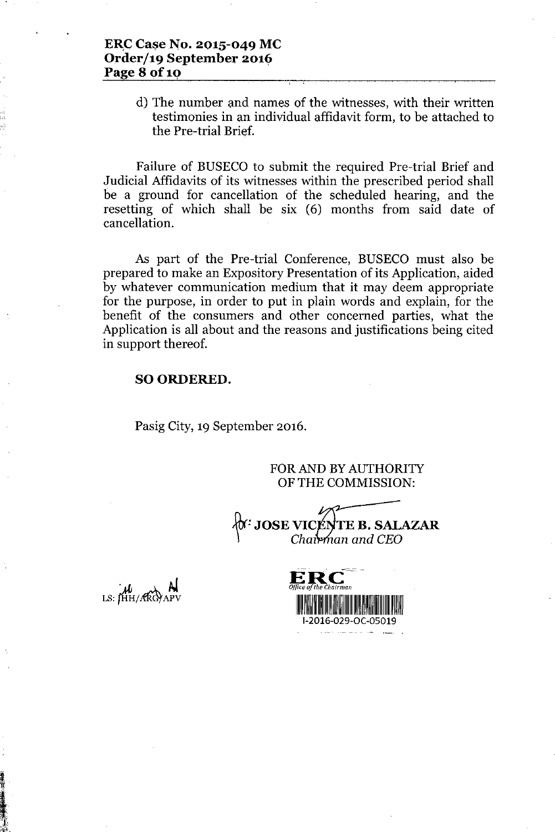## E~C**Case No. 2015-049 MC Order/19 September 2016 Page 8 Of1Q**

d) The number and names of the witnesses, with their written testimonies in an individual affidavit form, to be attached to the Pre-trial Brief.

Failure of BUSECO to submit the required Pre-trial Brief and Judicial Affidavits of its witnesses within the prescribed period shall be a ground for cancellation of the scheduled hearing, and the resetting of which shall be six (6) months from said date of cancellation.

As part of the Pre-trial Conference, BUSECO must also be prepared to make an Expository Presentation of its Application, aided by whatever communication medium that it may deem appropriate for the purpose, in order to put in plain words and explain, for the benefit of the consumers and other concerned parties, what the Application is all about and the reasons and justifications being cited in support thereof.

## SO ORDERED.

Pasig City, 19 September 2016.

FOR AND BY AUTHORITY OF THE COMMISSION:

 $\forall$ t<sup>r:</sup> JOSE VIC <sup>o</sup> JUSE *VIC*<br>*Cha*z **EB.SALAZAR** *an and CEO*

 $\mu$  M<br>LS: HH/ARGYAPV

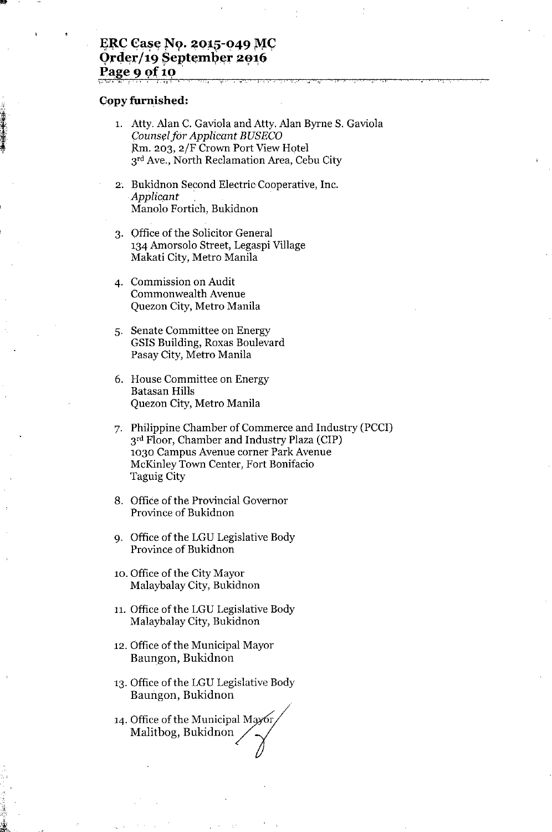#### ERC Case No. 2015-049 MC Order/19 September 2016 **Page 9 of 10** ',.~~.-, " ! - ,., , . 'I' ; , '., ~- **., (I**

#### **Copy furnished:**

•••

t-""

1. Atty. Alan C. Gaviola and Atty. Alan Byrne S. Gaviola *Couns~lfor Applicant BUSECO* ,Rm. 203, 2/F Crown Port View Hotel 3rd Ave., North Reclamation Area, Cebu City

.,

- 2. Bukidnon Second Electric Cooperative, Inc. *Applicant .* Manolo Fortich, Bukidnon
- 3. Office of the Solicitor General 134 Amorsolo Street, Legaspi Village Makati City, Metro Manila
- 4. Commission on Audit Commonwealth Avenue Quezon City, Metro Manila
- 5. Senate Committee on Energy GSIS Building, Roxas Boulevard Pasay City, Metro Manila
- 6. House Committee on Energy Batasan Hills Quezon City, Metro Manila
- 7. Philippine Chamber of Commerce and Industry (PCCI) 3<sup>rd</sup> Floor, Chamber and Industry Plaza (CIP) 1030 Campus Avenue corner Park Avenue McKinley Town Center, Fort Bonifacio Taguig City
- 8. Office of the Provincial Governor Province of Bukidnon
- 9. Office of the LGU Legislative Body Province of Bukidnon
- 10. Office of the City Mayor Malaybalay City, Bukidnon
- 11. Office of the LGU Legislative Body Malaybalay City, Bukidnon
- 12. Office of the Municipal Mayor Baungon, Bukidnon
- 13. Office of the LGU Legislative Body Baungon, Bukidnon
- Baungon, Bukidhon<br>14. Office of the Municipal Mayor Baungon, Bukidnon<br>Office of the Municipal Mayor<br>Malitbog, Bukidnon